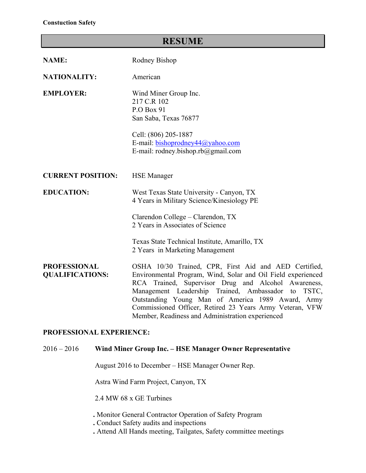# **RESUME**

| <b>NAME:</b>                                  | Rodney Bishop                                                                                                                                                                                                                                                                                                                                                                                              |
|-----------------------------------------------|------------------------------------------------------------------------------------------------------------------------------------------------------------------------------------------------------------------------------------------------------------------------------------------------------------------------------------------------------------------------------------------------------------|
| <b>NATIONALITY:</b>                           | American                                                                                                                                                                                                                                                                                                                                                                                                   |
| <b>EMPLOYER:</b>                              | Wind Miner Group Inc.<br>217 C.R 102<br>P.O Box 91<br>San Saba, Texas 76877<br>Cell: (806) 205-1887<br>E-mail: bishoprodney44@yahoo.com<br>E-mail: rodney.bishop.rb@gmail.com                                                                                                                                                                                                                              |
| <b>CURRENT POSITION:</b>                      | <b>HSE</b> Manager                                                                                                                                                                                                                                                                                                                                                                                         |
| <b>EDUCATION:</b>                             | West Texas State University - Canyon, TX<br>4 Years in Military Science/Kinesiology PE                                                                                                                                                                                                                                                                                                                     |
|                                               | Clarendon College - Clarendon, TX<br>2 Years in Associates of Science                                                                                                                                                                                                                                                                                                                                      |
|                                               | Texas State Technical Institute, Amarillo, TX<br>2 Years in Marketing Management                                                                                                                                                                                                                                                                                                                           |
| <b>PROFESSIONAL</b><br><b>QUALIFICATIONS:</b> | OSHA 10/30 Trained, CPR, First Aid and AED Certified,<br>Environmental Program, Wind, Solar and Oil Field experienced<br>RCA Trained, Supervisor Drug and Alcohol Awareness,<br>Management Leadership Trained, Ambassador to<br>TSTC,<br>Outstanding Young Man of America 1989 Award, Army<br>Commissioned Officer, Retired 23 Years Army Veteran, VFW<br>Member, Readiness and Administration experienced |

## **PROFESSIONAL EXPERIENCE:**

### 2016 – 2016 **Wind Miner Group Inc. – HSE Manager Owner Representative**

August 2016 to December – HSE Manager Owner Rep.

Astra Wind Farm Project, Canyon, TX

2.4 MW 68 x GE Turbines

 **.** Monitor General Contractor Operation of Safety Program

**.** Conduct Safety audits and inspections

**.** Attend All Hands meeting, Tailgates, Safety committee meetings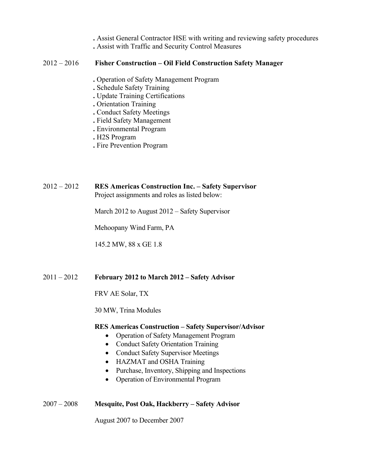- **.** Assist General Contractor HSE with writing and reviewing safety procedures
- **.** Assist with Traffic and Security Control Measures

### 2012 – 2016 **Fisher Construction – Oil Field Construction Safety Manager**

- **.** Operation of Safety Management Program
- **.** Schedule Safety Training
- **.** Update Training Certifications
- **.** Orientation Training
- **.** Conduct Safety Meetings
- **.** Field Safety Management
- **.** Environmental Program
- **.** H2S Program
- **.** Fire Prevention Program

2012 – 2012 **RES Americas Construction Inc. – Safety Supervisor** Project assignments and roles as listed below:

March 2012 to August 2012 – Safety Supervisor

Mehoopany Wind Farm, PA

145.2 MW, 88 x GE 1.8

## 2011 – 2012 **February 2012 to March 2012 – Safety Advisor**

FRV AE Solar, TX

30 MW, Trina Modules

#### **RES Americas Construction – Safety Supervisor/Advisor**

- Operation of Safety Management Program
- Conduct Safety Orientation Training
- Conduct Safety Supervisor Meetings
- HAZMAT and OSHA Training
- Purchase, Inventory, Shipping and Inspections
- Operation of Environmental Program

## 2007 – 2008 **Mesquite, Post Oak, Hackberry – Safety Advisor**

August 2007 to December 2007